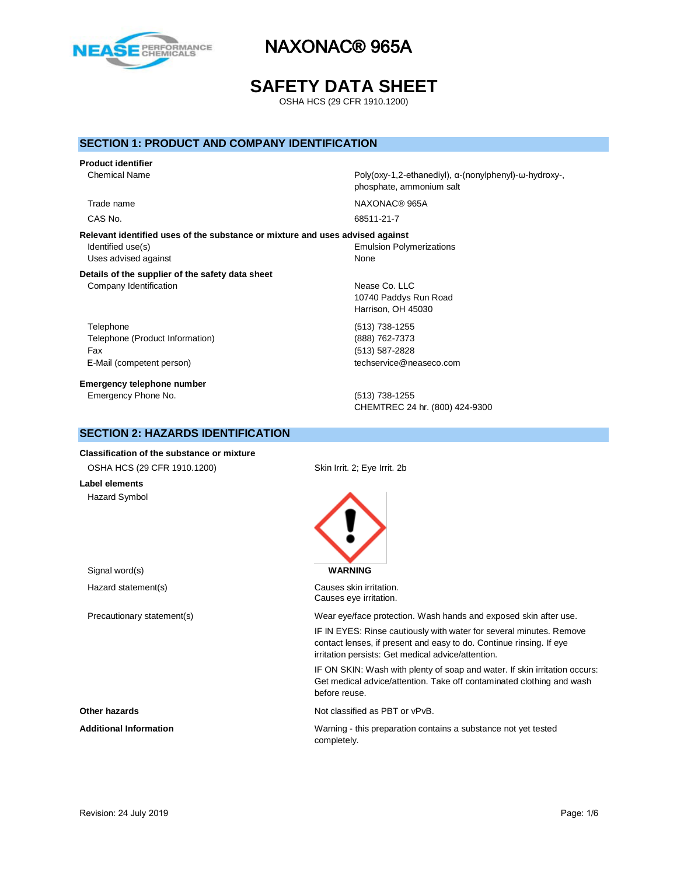

# **SAFETY DATA SHEET**

OSHA HCS (29 CFR 1910.1200)

### **SECTION 1: PRODUCT AND COMPANY IDENTIFICATION**

# **Product identifier**

**Relevant identified uses of the substance or mixture and uses advised against** Identified use(s) The Contraction School and The Emulsion Polymerizations in the Emulsion Polymerizations of the Contractions of the Contraction School and The Contraction School and The Contraction School and The Contract Uses advised against None

### **Details of the supplier of the safety data sheet** Company Identification **Nease Co.** LLC

Telephone (513) 738-1255 Telephone (Product Information) (888) 762-7373 Fax (513) 587-2828 E-Mail (competent person) the computation of the computation of techservice@neaseco.com

**Emergency telephone number** Emergency Phone No. (513) 738-1255

Chemical Name Poly(oxy-1,2-ethanediyl), α-(nonylphenyl)-ω-hydroxy-, phosphate, ammonium salt

Trade name NAXONAC® 965A CAS No. 68511-21-7

10740 Paddys Run Road Harrison, OH 45030

CHEMTREC 24 hr. (800) 424-9300

# **SECTION 2: HAZARDS IDENTIFICATION**

**Classification of the substance or mixture** OSHA HCS (29 CFR 1910.1200) Skin Irrit. 2; Eye Irrit. 2b

**Label elements** Hazard Symbol



Hazard statement(s) example a control control causes skin irritation. Causes eye irritation.

Precautionary statement(s) Wear eye/face protection. Wash hands and exposed skin after use.

IF IN EYES: Rinse cautiously with water for several minutes. Remove contact lenses, if present and easy to do. Continue rinsing. If eye irritation persists: Get medical advice/attention.

IF ON SKIN: Wash with plenty of soap and water. If skin irritation occurs: Get medical advice/attention. Take off contaminated clothing and wash before reuse.

**Other hazards Other hazards Not classified as PBT or vPvB.** 

Additional Information **Mature 2016** Warning - this preparation contains a substance not yet tested completely.

Signal word(s) **WARNING**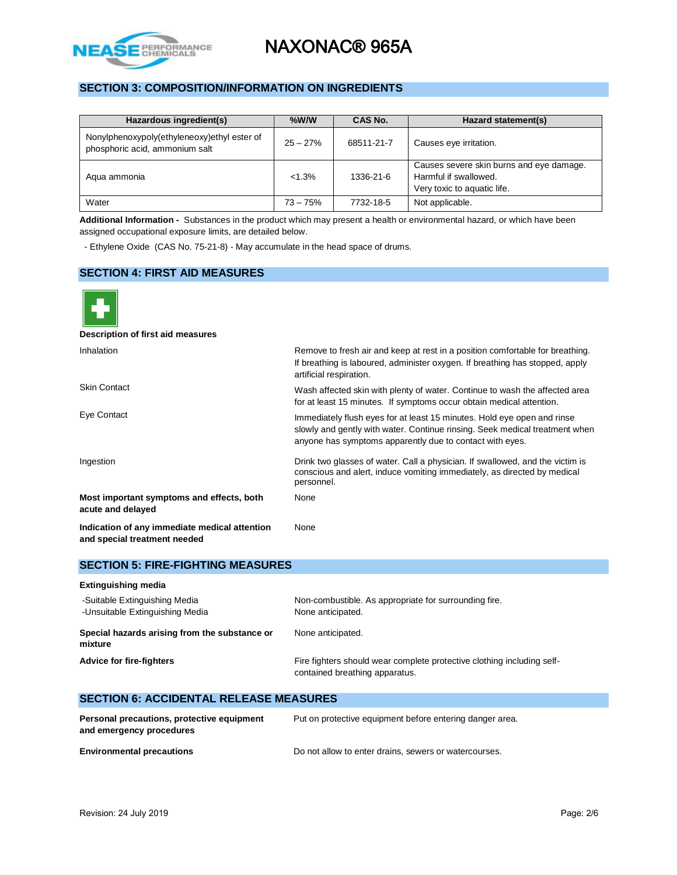

# **SECTION 3: COMPOSITION/INFORMATION ON INGREDIENTS**

| Hazardous ingredient(s)                                                       | $%$ W/W    | CAS No.    | Hazard statement(s)                                                                              |  |
|-------------------------------------------------------------------------------|------------|------------|--------------------------------------------------------------------------------------------------|--|
| Nonylphenoxypoly(ethyleneoxy)ethyl ester of<br>phosphoric acid, ammonium salt | $25 - 27%$ | 68511-21-7 | Causes eye irritation.                                                                           |  |
| Agua ammonia                                                                  | $< 1.3\%$  | 1336-21-6  | Causes severe skin burns and eye damage.<br>Harmful if swallowed.<br>Very toxic to aquatic life. |  |
| Water                                                                         | $73 - 75%$ | 7732-18-5  | Not applicable.                                                                                  |  |

**Additional Information -** Substances in the product which may present a health or environmental hazard, or which have been assigned occupational exposure limits, are detailed below.

- Ethylene Oxide (CAS No. 75-21-8) - May accumulate in the head space of drums.

### **SECTION 4: FIRST AID MEASURES**



| <b>SECTION 5: FIRE-FIGHTING MEASURES</b>                                                                 |  |  |  |  |
|----------------------------------------------------------------------------------------------------------|--|--|--|--|
|                                                                                                          |  |  |  |  |
| Non-combustible. As appropriate for surrounding fire.<br>None anticipated.                               |  |  |  |  |
| None anticipated.                                                                                        |  |  |  |  |
| Fire fighters should wear complete protective clothing including self-<br>contained breathing apparatus. |  |  |  |  |
|                                                                                                          |  |  |  |  |

| Personal precautions, protective equipment<br>and emergency procedures | Put on protective equipment before entering danger area. |
|------------------------------------------------------------------------|----------------------------------------------------------|
| <b>Environmental precautions</b>                                       | Do not allow to enter drains, sewers or watercourses.    |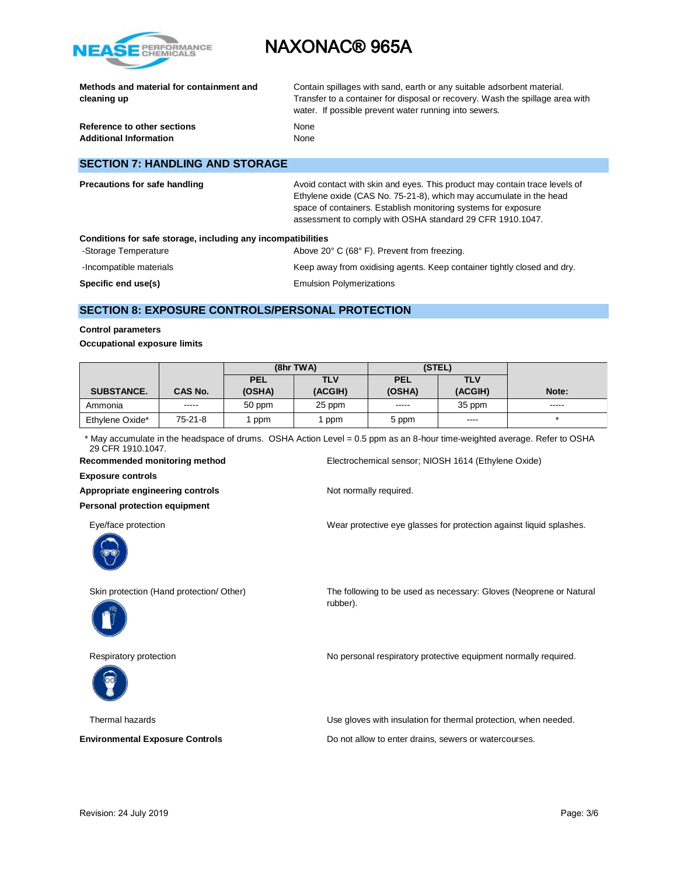

|             | Methods and material for containment and |  |
|-------------|------------------------------------------|--|
| cleaning up |                                          |  |

Contain spillages with sand, earth or any suitable adsorbent material. Transfer to a container for disposal or recovery. Wash the spillage area with water. If possible prevent water running into sewers.

**Reference to other sections None Additional Information** None

### **SECTION 7: HANDLING AND STORAGE**

| <b>Precautions for safe handling</b>                         | Avoid contact with skin and eyes. This product may contain trace levels of<br>Ethylene oxide (CAS No. 75-21-8), which may accumulate in the head<br>space of containers. Establish monitoring systems for exposure<br>assessment to comply with OSHA standard 29 CFR 1910.1047. |
|--------------------------------------------------------------|---------------------------------------------------------------------------------------------------------------------------------------------------------------------------------------------------------------------------------------------------------------------------------|
| Conditions for safe storage, including any incompatibilities |                                                                                                                                                                                                                                                                                 |
| -Storage Temperature                                         | Above 20° C (68° F). Prevent from freezing.                                                                                                                                                                                                                                     |
| -Incompatible materials                                      | Keep away from oxidising agents. Keep container tightly closed and dry.                                                                                                                                                                                                         |
| Specific end use(s)                                          | <b>Emulsion Polymerizations</b>                                                                                                                                                                                                                                                 |

# **SECTION 8: EXPOSURE CONTROLS/PERSONAL PROTECTION**

### **Control parameters**

#### **Occupational exposure limits**

|                   |           | (8hr TWA)  |         | (STEL)     |            |       |
|-------------------|-----------|------------|---------|------------|------------|-------|
|                   |           | <b>PEL</b> | TLV     | <b>PEL</b> | <b>TLV</b> |       |
| <b>SUBSTANCE.</b> | CAS No.   | (OSHA)     | (ACGIH) | (OSHA)     | (ACGIH)    | Note: |
| Ammonia           | -----     | 50 ppm     | 25 ppm  | -----      | 35 ppm     |       |
| Ethylene Oxide*   | $75-21-8$ | ppm        | ppm     | 5 ppm      | $- - - -$  |       |

\* May accumulate in the headspace of drums. OSHA Action Level = 0.5 ppm as an 8-hour time-weighted average. Refer to OSHA 29 CFR 1910.1047.

rubber).

**Recommended monitoring method** Electrochemical sensor; NIOSH 1614 (Ethylene Oxide)

**Exposure controls**

Appropriate engineering controls **Notify Appropriate engineering controls** Not normally required.

**Personal protection equipment**



Eye/face protection Wear protective eye glasses for protection against liquid splashes.

Skin protection (Hand protection/ Other) The following to be used as necessary: Gloves (Neoprene or Natural





Respiratory protection **No personal respiratory protective equipment normally required.** 

Thermal hazards Use gloves with insulation for thermal protection, when needed.

**Environmental Exposure Controls Exposure Controls Do not allow to enter drains, sewers or watercourses.**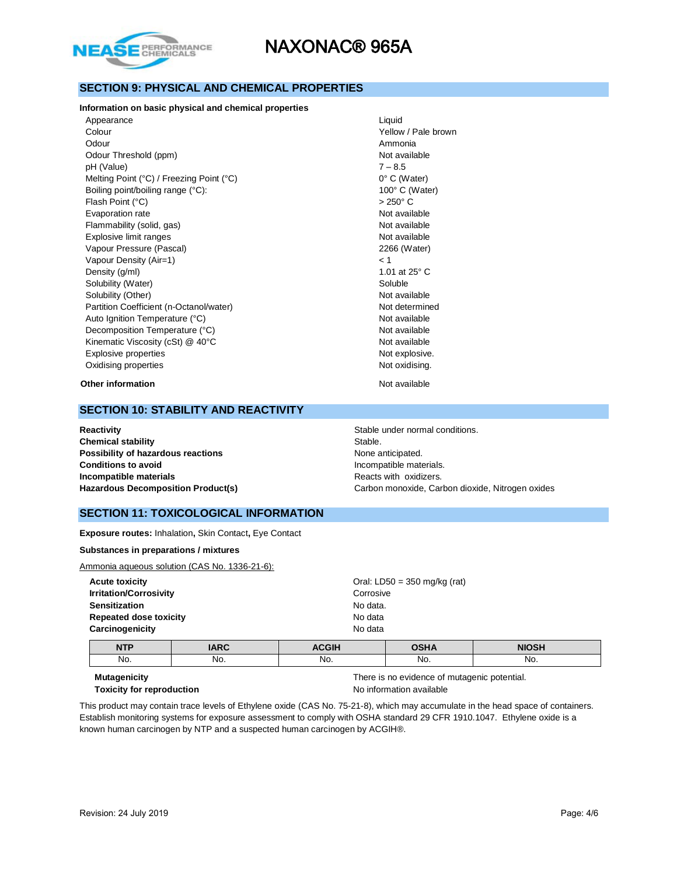

## **SECTION 9: PHYSICAL AND CHEMICAL PROPERTIES**

#### **Information on basic physical and chemical properties**

| Appearance                               | Liquid                |
|------------------------------------------|-----------------------|
| Colour                                   | Yellow / Pale brown   |
| Odour                                    | Ammonia               |
| Odour Threshold (ppm)                    | Not available         |
| pH (Value)                               | $7 - 8.5$             |
| Melting Point (°C) / Freezing Point (°C) | $0^{\circ}$ C (Water) |
| Boiling point/boiling range (°C):        | 100° C (Water)        |
| Flash Point (°C)                         | $>250^{\circ}$ C      |
| Evaporation rate                         | Not available         |
| Flammability (solid, gas)                | Not available         |
| Explosive limit ranges                   | Not available         |
| Vapour Pressure (Pascal)                 | 2266 (Water)          |
| Vapour Density (Air=1)                   | < 1                   |
| Density (g/ml)                           | 1.01 at 25° C         |
| Solubility (Water)                       | Soluble               |
| Solubility (Other)                       | Not available         |
| Partition Coefficient (n-Octanol/water)  | Not determined        |
| Auto Ignition Temperature (°C)           | Not available         |
| Decomposition Temperature (°C)           | Not available         |
| Kinematic Viscosity (cSt) @ 40°C         | Not available         |
| Explosive properties                     | Not explosive.        |
| Oxidising properties                     | Not oxidising.        |
|                                          |                       |

#### **Other information** Not available

### **SECTION 10: STABILITY AND REACTIVITY**

**Chemical stability** Stable. **Possibility of hazardous reactions None anticipated. Conditions to avoid Incompatible materials. Conditions to avoid Incompatible materials Example 2018** Reacts with oxidizers.

# **Not available**  $\degree$  C (Water) 00° C (Water) **Jot available Jot available Jot available** 266 (Water)  $.01$  at 25 $^{\circ}$  C **Jot available Vot determined Jot available Jot available Vot available** Vot explosive. **Not oxidising.**

**Reactivity Reactivity Reactivity Reactivity Stable under normal conditions. Hazardous Decomposition Product(s)** Carbon monoxide, Carbon dioxide, Nitrogen oxides

### **SECTION 11: TOXICOLOGICAL INFORMATION**

**Exposure routes:** Inhalation**,** Skin Contact**,** Eye Contact

#### **Substances in preparations / mixtures**

Ammonia aqueous solution (CAS No. 1336-21-6):

| ________                      |                                |  |  |
|-------------------------------|--------------------------------|--|--|
| Carcinogenicity               | No data                        |  |  |
| <b>Repeated dose toxicity</b> | No data                        |  |  |
| <b>Sensitization</b>          | No data.                       |  |  |
| <b>Irritation/Corrosivity</b> | Corrosive                      |  |  |
| <b>Acute toxicity</b>         | Oral: LD50 = $350$ mg/kg (rat) |  |  |
|                               |                                |  |  |

| <b>NITE</b><br>ND. | IADC | $\sim$ $\sim$ $\sim$ $\sim$ | <b>AQIIA</b><br>''' | <b>NIOSH</b> |
|--------------------|------|-----------------------------|---------------------|--------------|
| No.                | No.  | No.                         | NO.                 | No.          |
|                    |      |                             |                     |              |

**Mutagenicity** There is no evidence of mutagenic potential. **Toxicity for reproduction No information available** 

This product may contain trace levels of Ethylene oxide (CAS No. 75-21-8), which may accumulate in the head space of containers. Establish monitoring systems for exposure assessment to comply with OSHA standard 29 CFR 1910.1047. Ethylene oxide is a known human carcinogen by NTP and a suspected human carcinogen by ACGIH®.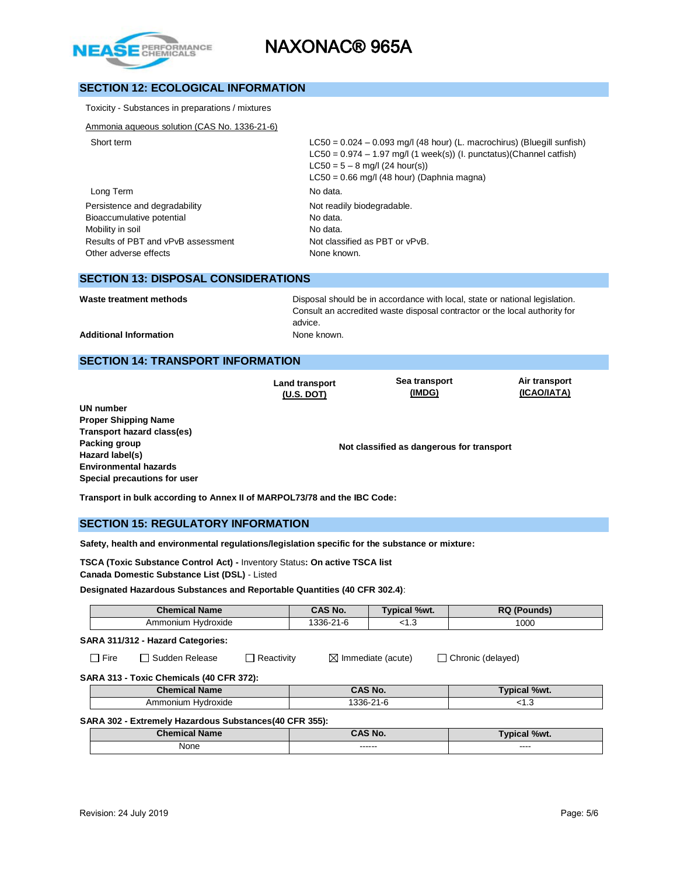

# **SECTION 12: ECOLOGICAL INFORMATION**

| $LC50 = 0.024 - 0.093$ mg/l (48 hour) (L. macrochirus) (Bluegill sunfish)<br>$LC50 = 0.974 - 1.97$ mg/l (1 week(s)) (l. punctatus)(Channel catfish)<br>$LC50 = 5 - 8$ mg/l (24 hour(s))<br>$LC50 = 0.66$ mg/l (48 hour) (Daphnia magna) |
|-----------------------------------------------------------------------------------------------------------------------------------------------------------------------------------------------------------------------------------------|
| No data.                                                                                                                                                                                                                                |
| Not readily biodegradable.<br>No data.<br>No data.<br>Not classified as PBT or vPvB.<br>None known.                                                                                                                                     |
|                                                                                                                                                                                                                                         |

### **SECTION 13: DISPOSAL CONSIDERATIONS**

Waste treatment methods **Disposal should be in accordance with local**, state or national legislation. Consult an accredited waste disposal contractor or the local authority for advice.

Additional Information **None known.** None known.

## **SECTION 14: TRANSPORT INFORMATION**

**Land transport (U.S. DOT)**

**Sea transport (IMDG)**

**Air transport (ICAO/IATA)**

**UN number Proper Shipping Name Transport hazard class(es) Packing group Hazard label(s) Environmental hazards Special precautions for user**

**Not classified as dangerous for transport**

**Transport in bulk according to Annex II of MARPOL73/78 and the IBC Code:** 

### **SECTION 15: REGULATORY INFORMATION**

**Safety, health and environmental regulations/legislation specific for the substance or mixture:**

**TSCA (Toxic Substance Control Act) -** Inventory Status**: On active TSCA list Canada Domestic Substance List (DSL)** - Listed

**Designated Hazardous Substances and Reportable Quantities (40 CFR 302.4)**:

|                                                                   |                    | <b>Chemical Name</b>                     |           | CAS No.                       | Typical %wt.      | <b>RQ (Pounds)</b> |  |
|-------------------------------------------------------------------|--------------------|------------------------------------------|-----------|-------------------------------|-------------------|--------------------|--|
|                                                                   |                    | Ammonium Hydroxide                       |           | 1336-21-6                     | < 1.3             | 1000               |  |
| SARA 311/312 - Hazard Categories:                                 |                    |                                          |           |                               |                   |                    |  |
| Sudden Release<br>$\Box$ Reactivity<br>l ⊟ Fire<br>$\blacksquare$ |                    |                                          |           | $\boxtimes$ Immediate (acute) | Chronic (delayed) |                    |  |
|                                                                   |                    | SARA 313 - Toxic Chemicals (40 CFR 372): |           |                               |                   |                    |  |
|                                                                   |                    | <b>Chemical Name</b>                     |           | CAS No.                       |                   | Typical %wt.       |  |
|                                                                   | Ammonium Hydroxide |                                          | 1336-21-6 |                               | < 1.3             |                    |  |
| SARA 302 - Extremely Hazardous Substances (40 CFR 355):           |                    |                                          |           |                               |                   |                    |  |
|                                                                   |                    | <b>Chemical Name</b>                     |           |                               | CAS No.           | Typical %wt.       |  |
|                                                                   |                    | None                                     |           |                               |                   |                    |  |